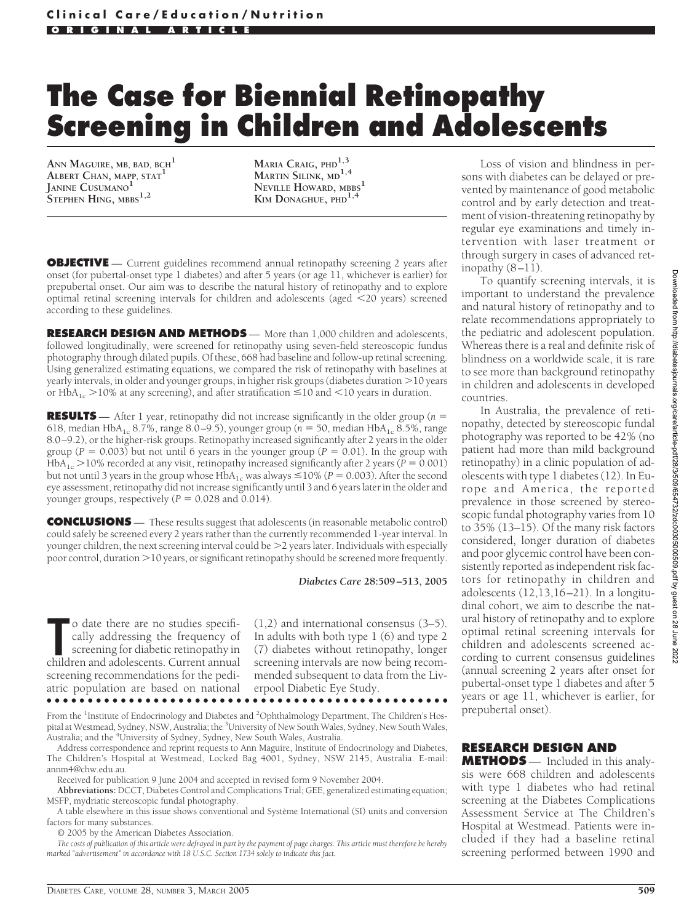# **The Case for Biennial Retinopathy Screening in Children and Adolescents**

**ANN MAGUIRE, MB, BAD, BCH<sup>1</sup> ALBERT CHAN, MAPP, STAT<sup>1</sup> JANINE CUSUMANO<sup>1</sup> STEPHEN HING, MBBS1,2**

**MARIA CRAIG, PHD1,3 MARTIN SILINK, MD1,4 NEVILLE HOWARD, MBBS<sup>1</sup> KIM DONAGHUE, PHD1,4**

**OBJECTIVE** — Current guidelines recommend annual retinopathy screening 2 years after onset (for pubertal-onset type 1 diabetes) and after 5 years (or age 11, whichever is earlier) for prepubertal onset. Our aim was to describe the natural history of retinopathy and to explore optimal retinal screening intervals for children and adolescents (aged 20 years) screened according to these guidelines.

**RESEARCH DESIGN AND METHODS** — More than 1,000 children and adolescents, followed longitudinally, were screened for retinopathy using seven-field stereoscopic fundus photography through dilated pupils. Of these, 668 had baseline and follow-up retinal screening. Using generalized estimating equations, we compared the risk of retinopathy with baselines at yearly intervals, in older and younger groups, in higher risk groups (diabetes duration  $>$  10 years or HbA<sub>1c</sub> >10% at any screening), and after stratification  $\leq$ 10 and  $<$ 10 years in duration.

**RESULTS** — After 1 year, retinopathy did not increase significantly in the older group (*n* = 618, median HbA<sub>1c</sub> 8.7%, range 8.0–9.5), younger group ( $n = 50$ , median HbA<sub>1c</sub> 8.5%, range 8.0–9.2), or the higher-risk groups. Retinopathy increased significantly after 2 years in the older group ( $P = 0.003$ ) but not until 6 years in the younger group ( $P = 0.01$ ). In the group with  $HbA_{1c}$  > 10% recorded at any visit, retinopathy increased significantly after 2 years ( $P = 0.001$ ) but not until 3 years in the group whose  $HbA_{1c}$  was always  $\leq$  10% ( $P = 0.003$ ). After the second eye assessment, retinopathy did not increase significantly until 3 and 6 years later in the older and younger groups, respectively  $(P = 0.028$  and 0.014).

**CONCLUSIONS** — These results suggest that adolescents (in reasonable metabolic control) could safely be screened every 2 years rather than the currently recommended 1-year interval. In younger children, the next screening interval could be  $\geq$  years later. Individuals with especially poor control, duration -10 years, or significant retinopathy should be screened more frequently.

*Diabetes Care* **28:509 –513, 2005**

**THEOR CONFORTML** o date there are no studies specifically addressing the frequency of screening for diabetic retinopathy in children and adolescents. Current annual o date there are no studies specifically addressing the frequency of screening for diabetic retinopathy in screening recommendations for the pediatric population are based on national

(1,2) and international consensus (3–5). In adults with both type 1 (6) and type 2 (7) diabetes without retinopathy, longer screening intervals are now being recommended subsequent to data from the Liverpool Diabetic Eye Study.

●●●●●●●●●●●●●●●●●●●●●●●●●●●●●●●●●●●●●●●●●●●●●●●●●

From the <sup>1</sup>Institute of Endocrinology and Diabetes and <sup>2</sup>Ophthalmology Department, The Children's Hospital at Westmead, Sydney, NSW, Australia; the <sup>3</sup>University of New South Wales, Sydney, New South Wales, Australia; and the <sup>4</sup>University of Sydney, Sydney, New South Wales, Australia.

Address correspondence and reprint requests to Ann Maguire, Institute of Endocrinology and Diabetes, The Children's Hospital at Westmead, Locked Bag 4001, Sydney, NSW 2145, Australia. E-mail: annm4@chw.edu.au.

Received for publication 9 June 2004 and accepted in revised form 9 November 2004.

**Abbreviations:** DCCT, Diabetes Control and Complications Trial; GEE, generalized estimating equation; MSFP, mydriatic stereoscopic fundal photography.

A table elsewhere in this issue shows conventional and Système International (SI) units and conversion factors for many substances.

© 2005 by the American Diabetes Association.

*The costs of publication of this article were defrayed in part by the payment of page charges. This article must therefore be hereby marked "advertisement" in accordance with 18 U.S.C. Section 1734 solely to indicate this fact.*

Loss of vision and blindness in persons with diabetes can be delayed or prevented by maintenance of good metabolic control and by early detection and treatment of vision-threatening retinopathy by regular eye examinations and timely intervention with laser treatment or through surgery in cases of advanced retinopathy (8–11).

To quantify screening intervals, it is important to understand the prevalence and natural history of retinopathy and to relate recommendations appropriately to the pediatric and adolescent population. Whereas there is a real and definite risk of blindness on a worldwide scale, it is rare to see more than background retinopathy in children and adolescents in developed countries.

In Australia, the prevalence of retinopathy, detected by stereoscopic fundal photography was reported to be 42% (no patient had more than mild background retinopathy) in a clinic population of adolescents with type 1 diabetes (12). In Europe and America, the reported prevalence in those screened by stereoscopic fundal photography varies from 10 to 35% (13–15). Of the many risk factors considered, longer duration of diabetes and poor glycemic control have been consistently reported as independent risk factors for retinopathy in children and adolescents (12,13,16–21). In a longitudinal cohort, we aim to describe the natural history of retinopathy and to explore optimal retinal screening intervals for children and adolescents screened according to current consensus guidelines (annual screening 2 years after onset for pubertal-onset type 1 diabetes and after 5 years or age 11, whichever is earlier, for prepubertal onset).

## **RESEARCH DESIGN AND**

**METHODS** — Included in this analysis were 668 children and adolescents with type 1 diabetes who had retinal screening at the Diabetes Complications Assessment Service at The Children's Hospital at Westmead. Patients were included if they had a baseline retinal screening performed between 1990 and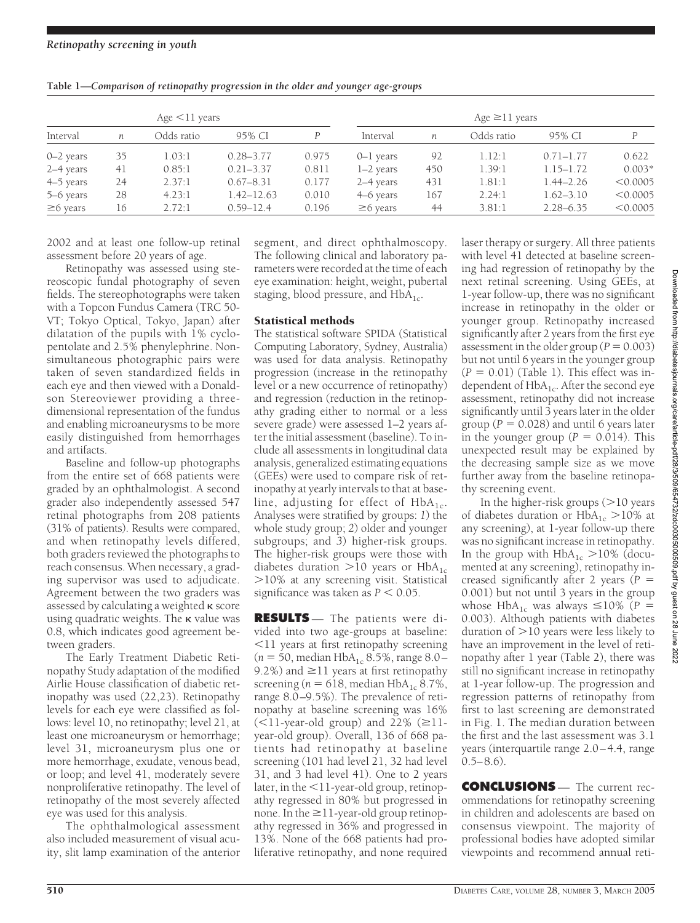| Age < 11 years |    |            |                | Age $\geq$ 11 years |                |     |            |               |          |
|----------------|----|------------|----------------|---------------------|----------------|-----|------------|---------------|----------|
| Interval       | n  | Odds ratio | 95% CI         |                     | Interval       | n   | Odds ratio | 95% CI        | P        |
| $0 - 2$ years  | 35 | 1.03:1     | $0.28 - 3.77$  | 0.975               | 0–1 years      | 92  | 1.12:1     | $0.71 - 1.77$ | 0.622    |
| 2–4 years      | 41 | 0.85:1     | $0.21 - 3.37$  | 0.811               | $1-2$ years    | 450 | 1.39:1     | $1.15 - 1.72$ | $0.003*$ |
| 4–5 years      | 24 | 2.37:1     | $0.67 - 8.31$  | 0.177               | 2–4 years      | 431 | 1.81:1     | $1.44 - 2.26$ | < 0.0005 |
| 5–6 years      | 28 | 4.23:1     | $1.42 - 12.63$ | 0.010               | 4–6 years      | 167 | 2.24:1     | $1.62 - 3.10$ | < 0.0005 |
| $\geq 6$ years | 16 | 2.72:1     | $0.59 - 12.4$  | 0.196               | $\geq$ 6 years | 44  | 3.81:1     | $2.28 - 6.35$ | < 0.0005 |

**Table 1—***Comparison of retinopathy progression in the older and younger age-groups*

2002 and at least one follow-up retinal assessment before 20 years of age.

Retinopathy was assessed using stereoscopic fundal photography of seven fields. The stereophotographs were taken with a Topcon Fundus Camera (TRC 50- VT; Tokyo Optical, Tokyo, Japan) after dilatation of the pupils with 1% cyclopentolate and 2.5% phenylephrine. Nonsimultaneous photographic pairs were taken of seven standardized fields in each eye and then viewed with a Donaldson Stereoviewer providing a threedimensional representation of the fundus and enabling microaneurysms to be more easily distinguished from hemorrhages and artifacts.

Baseline and follow-up photographs from the entire set of 668 patients were graded by an ophthalmologist. A second grader also independently assessed 547 retinal photographs from 208 patients (31% of patients). Results were compared, and when retinopathy levels differed, both graders reviewed the photographs to reach consensus. When necessary, a grading supervisor was used to adjudicate. Agreement between the two graders was assessed by calculating a weighted  $\kappa$  score using quadratic weights. The  $\kappa$  value was 0.8, which indicates good agreement between graders.

The Early Treatment Diabetic Retinopathy Study adaptation of the modified Airlie House classification of diabetic retinopathy was used (22,23). Retinopathy levels for each eye were classified as follows: level 10, no retinopathy; level 21, at least one microaneurysm or hemorrhage; level 31, microaneurysm plus one or more hemorrhage, exudate, venous bead, or loop; and level 41, moderately severe nonproliferative retinopathy. The level of retinopathy of the most severely affected eye was used for this analysis.

The ophthalmological assessment also included measurement of visual acuity, slit lamp examination of the anterior

segment, and direct ophthalmoscopy. The following clinical and laboratory parameters were recorded at the time of each eye examination: height, weight, pubertal staging, blood pressure, and  $HbA_{1c}$ .

## Statistical methods

The statistical software SPIDA (Statistical Computing Laboratory, Sydney, Australia) was used for data analysis. Retinopathy progression (increase in the retinopathy level or a new occurrence of retinopathy) and regression (reduction in the retinopathy grading either to normal or a less severe grade) were assessed 1–2 years after the initial assessment (baseline). To include all assessments in longitudinal data analysis, generalized estimating equations (GEEs) were used to compare risk of retinopathy at yearly intervals to that at baseline, adjusting for effect of  $HbA_{1c}$ . Analyses were stratified by groups: *1*) the whole study group; *2*) older and younger subgroups; and *3*) higher-risk groups. The higher-risk groups were those with diabetes duration  $>$ 10 years or  $HbA_{1c}$ -10% at any screening visit. Statistical significance was taken as  $P < 0.05$ .

**RESULTS** — The patients were divided into two age-groups at baseline: 11 years at first retinopathy screening  $(n = 50, \text{median HbA}_{1c} 8.5\%, \text{range } 8.0-$ 9.2%) and  $\geq$ 11 years at first retinopathy screening ( $n = 618$ , median HbA<sub>1c</sub> 8.7%, range 8.0–9.5%). The prevalence of retinopathy at baseline screening was 16%  $(\leq 11$ -year-old group) and 22%  $(\geq 11$ year-old group). Overall, 136 of 668 patients had retinopathy at baseline screening (101 had level 21, 32 had level 31, and 3 had level 41). One to 2 years later, in the  $\leq$ 11-year-old group, retinopathy regressed in 80% but progressed in none. In the  $\geq$ 11-year-old group retinopathy regressed in 36% and progressed in 13%. None of the 668 patients had proliferative retinopathy, and none required

laser therapy or surgery. All three patients with level 41 detected at baseline screening had regression of retinopathy by the next retinal screening. Using GEEs, at 1-year follow-up, there was no significant increase in retinopathy in the older or younger group. Retinopathy increased significantly after 2 years from the first eye assessment in the older group ( $P = 0.003$ ) but not until 6 years in the younger group  $(P = 0.01)$  (Table 1). This effect was independent of  $HbA_{1c}$ . After the second eye assessment, retinopathy did not increase significantly until 3 years later in the older group ( $P = 0.028$ ) and until 6 years later in the younger group ( $P = 0.014$ ). This unexpected result may be explained by the decreasing sample size as we move further away from the baseline retinopathy screening event.

In the higher-risk groups  $(>$ 10 years of diabetes duration or  $HbA_{1c} > 10\%$  at any screening), at 1-year follow-up there was no significant increase in retinopathy. In the group with  $HbA_{1c} > 10\%$  (documented at any screening), retinopathy increased significantly after 2 years (*P* 0.001) but not until 3 years in the group whose HbA<sub>1c</sub> was always  $\leq$ 10% (*P* = 0.003). Although patients with diabetes duration of  $>$ 10 years were less likely to have an improvement in the level of retinopathy after 1 year (Table 2), there was still no significant increase in retinopathy at 1-year follow-up. The progression and regression patterns of retinopathy from first to last screening are demonstrated in Fig. 1. The median duration between the first and the last assessment was 3.1 years (interquartile range 2.0–4.4, range  $0.5 - 8.6$ .

**CONCLUSIONS** — The current recommendations for retinopathy screening in children and adolescents are based on consensus viewpoint. The majority of professional bodies have adopted similar viewpoints and recommend annual reti-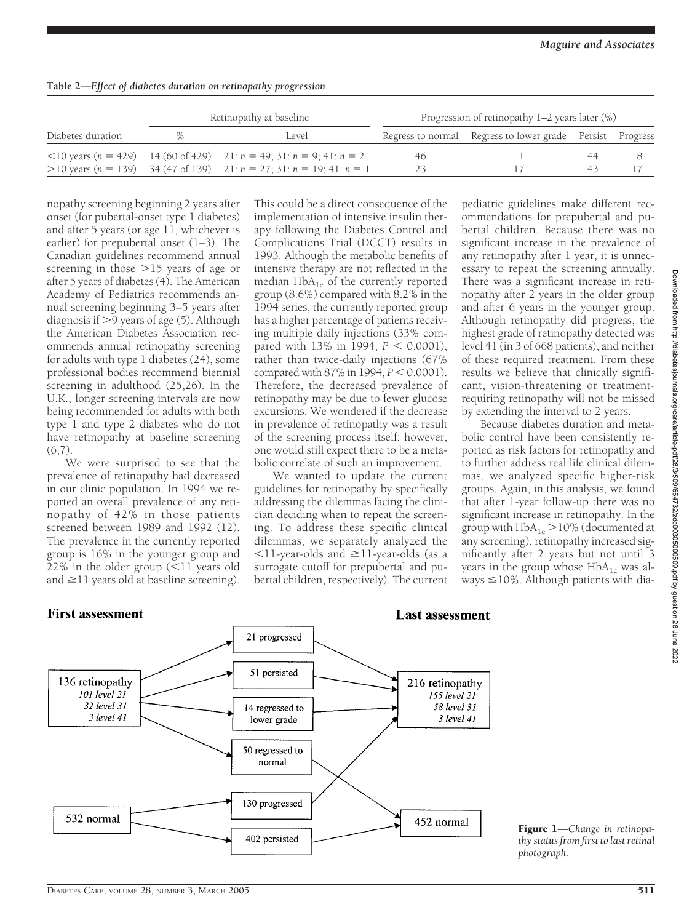| Table 2-Effect of diabetes duration on retinopathy progression |  |  |
|----------------------------------------------------------------|--|--|
|                                                                |  |  |

|                   |   | Retinopathy at baseline                                                                       | Progression of retinopathy $1-2$ years later $(\%)$ |                                                           |  |  |  |
|-------------------|---|-----------------------------------------------------------------------------------------------|-----------------------------------------------------|-----------------------------------------------------------|--|--|--|
| Diabetes duration | % | Level.                                                                                        |                                                     | Regress to normal Regress to lower grade Persist Progress |  |  |  |
|                   |   | $\langle 10 \text{ years } (n = 429)$ 14 (60 of 429) 21: $n = 49$ ; 31: $n = 9$ ; 41: $n = 2$ | 46.                                                 |                                                           |  |  |  |
|                   |   | $>$ 10 years (n = 139) 34 (47 of 139) 21: n = 27; 31: n = 19; 41: n = 1                       | つろ                                                  |                                                           |  |  |  |

nopathy screening beginning 2 years after onset (for pubertal-onset type 1 diabetes) and after 5 years (or age 11, whichever is earlier) for prepubertal onset (1–3). The Canadian guidelines recommend annual screening in those >15 years of age or after 5 years of diabetes (4). The American Academy of Pediatrics recommends annual screening beginning 3–5 years after diagnosis if  $>$  9 years of age (5). Although the American Diabetes Association recommends annual retinopathy screening for adults with type 1 diabetes (24), some professional bodies recommend biennial screening in adulthood (25,26). In the U.K., longer screening intervals are now being recommended for adults with both type 1 and type 2 diabetes who do not have retinopathy at baseline screening  $(6,7)$ .

We were surprised to see that the prevalence of retinopathy had decreased in our clinic population. In 1994 we reported an overall prevalence of any retinopathy of 42% in those patients screened between 1989 and 1992 (12). The prevalence in the currently reported group is 16% in the younger group and  $22\%$  in the older group (<11 years old and  $\geq$ 11 years old at baseline screening).

This could be a direct consequence of the implementation of intensive insulin therapy following the Diabetes Control and Complications Trial (DCCT) results in 1993. Although the metabolic benefits of intensive therapy are not reflected in the median  $HbA_{1c}$  of the currently reported group (8.6%) compared with 8.2% in the 1994 series, the currently reported group has a higher percentage of patients receiving multiple daily injections (33% compared with  $13\%$  in 1994,  $P < 0.0001$ ), rather than twice-daily injections (67% compared with  $87\%$  in 1994,  $P < 0.0001$ ). Therefore, the decreased prevalence of retinopathy may be due to fewer glucose excursions. We wondered if the decrease in prevalence of retinopathy was a result of the screening process itself; however, one would still expect there to be a metabolic correlate of such an improvement.

We wanted to update the current guidelines for retinopathy by specifically addressing the dilemmas facing the clinician deciding when to repeat the screening. To address these specific clinical dilemmas, we separately analyzed the  $11$ -year-olds and  $\geq 11$ -year-olds (as a surrogate cutoff for prepubertal and pubertal children, respectively). The current

pediatric guidelines make different recommendations for prepubertal and pubertal children. Because there was no significant increase in the prevalence of any retinopathy after 1 year, it is unnecessary to repeat the screening annually. There was a significant increase in retinopathy after 2 years in the older group and after 6 years in the younger group. Although retinopathy did progress, the highest grade of retinopathy detected was level 41 (in 3 of 668 patients), and neither of these required treatment. From these results we believe that clinically significant, vision-threatening or treatmentrequiring retinopathy will not be missed by extending the interval to 2 years.

Because diabetes duration and metabolic control have been consistently reported as risk factors for retinopathy and to further address real life clinical dilemmas, we analyzed specific higher-risk groups. Again, in this analysis, we found that after 1-year follow-up there was no significant increase in retinopathy. In the group with  $HbA_{1c} > 10\%$  (documented at any screening), retinopathy increased significantly after 2 years but not until 3 years in the group whose  $HbA_{1c}$  was always  $\leq$ 10%. Although patients with dia-



#### Figure 1—*Change in retinopathy status from first to last retinal photograph.*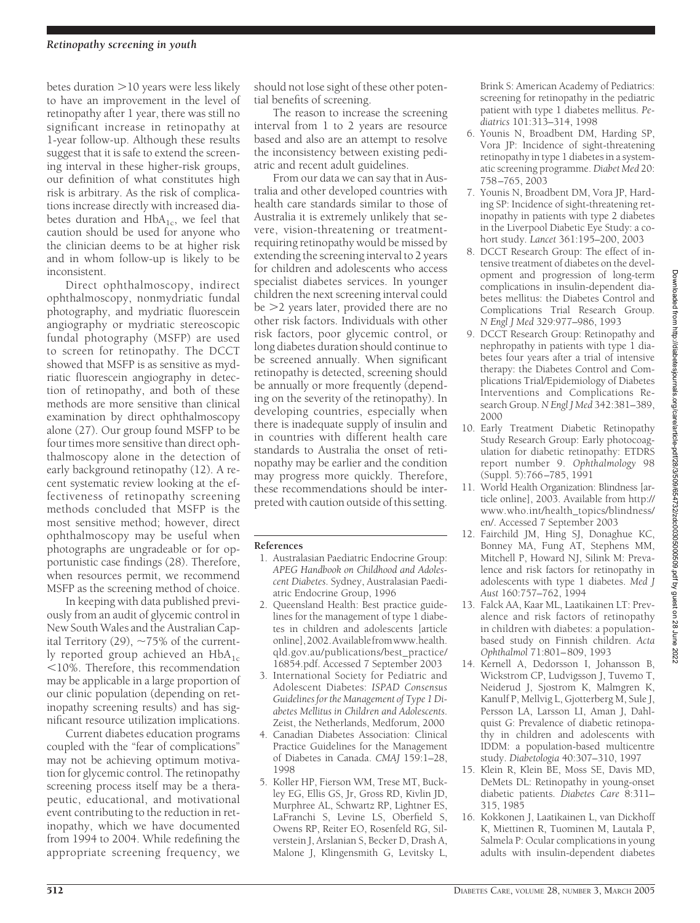### *Retinopathy screening in youth*

betes duration >10 years were less likely to have an improvement in the level of retinopathy after 1 year, there was still no significant increase in retinopathy at 1-year follow-up. Although these results suggest that it is safe to extend the screening interval in these higher-risk groups, our definition of what constitutes high risk is arbitrary. As the risk of complications increase directly with increased diabetes duration and  $HbA_{1c}$ , we feel that caution should be used for anyone who the clinician deems to be at higher risk and in whom follow-up is likely to be inconsistent.

Direct ophthalmoscopy, indirect ophthalmoscopy, nonmydriatic fundal photography, and mydriatic fluorescein angiography or mydriatic stereoscopic fundal photography (MSFP) are used to screen for retinopathy. The DCCT showed that MSFP is as sensitive as mydriatic fluorescein angiography in detection of retinopathy, and both of these methods are more sensitive than clinical examination by direct ophthalmoscopy alone (27). Our group found MSFP to be four times more sensitive than direct ophthalmoscopy alone in the detection of early background retinopathy (12). A recent systematic review looking at the effectiveness of retinopathy screening methods concluded that MSFP is the most sensitive method; however, direct ophthalmoscopy may be useful when photographs are ungradeable or for opportunistic case findings (28). Therefore, when resources permit, we recommend MSFP as the screening method of choice.

In keeping with data published previously from an audit of glycemic control in New South Wales and the Australian Capital Territory (29),  $\sim$ 75% of the currently reported group achieved an  $HbA_{1c}$ 10%. Therefore, this recommendation may be applicable in a large proportion of our clinic population (depending on retinopathy screening results) and has significant resource utilization implications.

Current diabetes education programs coupled with the "fear of complications" may not be achieving optimum motivation for glycemic control. The retinopathy screening process itself may be a therapeutic, educational, and motivational event contributing to the reduction in retinopathy, which we have documented from 1994 to 2004. While redefining the appropriate screening frequency, we should not lose sight of these other potential benefits of screening.

The reason to increase the screening interval from 1 to 2 years are resource based and also are an attempt to resolve the inconsistency between existing pediatric and recent adult guidelines.

From our data we can say that in Australia and other developed countries with health care standards similar to those of Australia it is extremely unlikely that severe, vision-threatening or treatmentrequiring retinopathy would be missed by extending the screening interval to 2 years for children and adolescents who access specialist diabetes services. In younger children the next screening interval could be -2 years later, provided there are no other risk factors. Individuals with other risk factors, poor glycemic control, or long diabetes duration should continue to be screened annually. When significant retinopathy is detected, screening should be annually or more frequently (depending on the severity of the retinopathy). In developing countries, especially when there is inadequate supply of insulin and in countries with different health care standards to Australia the onset of retinopathy may be earlier and the condition may progress more quickly. Therefore, these recommendations should be interpreted with caution outside of this setting.

#### **References**

- 1. Australasian Paediatric Endocrine Group: *APEG Handbook on Childhood and Adolescent Diabetes*. Sydney, Australasian Paediatric Endocrine Group, 1996
- 2. Queensland Health: Best practice guidelines for the management of type 1 diabetes in children and adolescents [article online],2002.Availablefromwww.health. qld.gov.au/publications/best\_practice/ 16854.pdf. Accessed 7 September 2003
- 3. International Society for Pediatric and Adolescent Diabetes: *ISPAD Consensus Guidelines for the Management of Type 1 Diabetes Mellitus in Children and Adolescents*. Zeist, the Netherlands, Medforum, 2000
- 4. Canadian Diabetes Association: Clinical Practice Guidelines for the Management of Diabetes in Canada. *CMAJ* 159:1–28, 1998
- 5. Koller HP, Fierson WM, Trese MT, Buckley EG, Ellis GS, Jr, Gross RD, Kivlin JD, Murphree AL, Schwartz RP, Lightner ES, LaFranchi S, Levine LS, Oberfield S, Owens RP, Reiter EO, Rosenfeld RG, Silverstein J, Arslanian S, Becker D, Drash A, Malone J, Klingensmith G, Levitsky L,

Brink S: American Academy of Pediatrics: screening for retinopathy in the pediatric patient with type 1 diabetes mellitus. *Pediatrics* 101:313–314, 1998

- 6. Younis N, Broadbent DM, Harding SP, Vora JP: Incidence of sight-threatening retinopathy in type 1 diabetes in a systematic screening programme. *Diabet Med* 20: 758–765, 2003
- 7. Younis N, Broadbent DM, Vora JP, Harding SP: Incidence of sight-threatening retinopathy in patients with type 2 diabetes in the Liverpool Diabetic Eye Study: a cohort study. *Lancet* 361:195–200, 2003
- 8. DCCT Research Group: The effect of intensive treatment of diabetes on the development and progression of long-term complications in insulin-dependent diabetes mellitus: the Diabetes Control and Complications Trial Research Group. *N Engl J Med* 329:977–986, 1993
- 9. DCCT Research Group: Retinopathy and nephropathy in patients with type 1 diabetes four years after a trial of intensive therapy: the Diabetes Control and Complications Trial/Epidemiology of Diabetes Interventions and Complications Research Group. *N Engl J Med* 342:381–389, 2000
- 10. Early Treatment Diabetic Retinopathy Study Research Group: Early photocoagulation for diabetic retinopathy: ETDRS report number 9. *Ophthalmology* 98 (Suppl. 5):766–785, 1991
- 11. World Health Organization: Blindness [article online], 2003. Available from http:// www.who.int/health\_topics/blindness/ en/. Accessed 7 September 2003
- 12. Fairchild JM, Hing SJ, Donaghue KC, Bonney MA, Fung AT, Stephens MM, Mitchell P, Howard NJ, Silink M: Prevalence and risk factors for retinopathy in adolescents with type 1 diabetes. *Med J Aust* 160:757–762, 1994
- 13. Falck AA, Kaar ML, Laatikainen LT: Prevalence and risk factors of retinopathy in children with diabetes: a populationbased study on Finnish children. *Acta Ophthalmol* 71:801–809, 1993
- 14. Kernell A, Dedorsson I, Johansson B, Wickstrom CP, Ludvigsson J, Tuvemo T, Neiderud J, Sjostrom K, Malmgren K, Kanulf P, Mellvig L, Gjotterberg M, Sule J, Persson LA, Larsson LI, Aman J, Dahlquist G: Prevalence of diabetic retinopathy in children and adolescents with IDDM: a population-based multicentre study. *Diabetologia* 40:307–310, 1997
- 15. Klein R, Klein BE, Moss SE, Davis MD, DeMets DL: Retinopathy in young-onset diabetic patients. *Diabetes Care* 8:311– 315, 1985
- 16. Kokkonen J, Laatikainen L, van Dickhoff K, Miettinen R, Tuominen M, Lautala P, Salmela P: Ocular complications in young adults with insulin-dependent diabetes